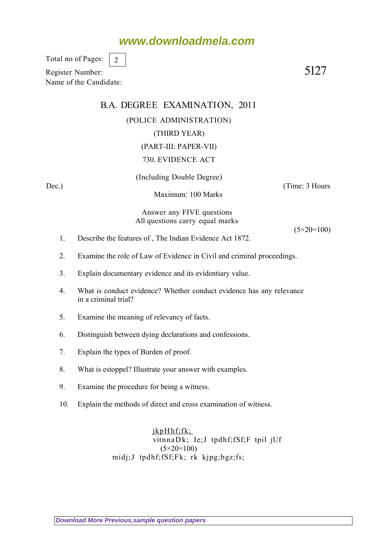## **www.downloadmela.com**

Total no of Pages: 2

Register Number: 5127 Name of the Candidate:

## B.A. DEGREE EXAMINATION, 2011 (POLICE ADMINISTRATION) (THIRD YEAR) (PART-III: PAPER-VII) 730. EVIDENCE ACT

(Including Double Degree)

Dec.) (Time: 3 Hours

Maximum: 100 Marks

Answer any FIVE questions All questions carry equal marks

 $(5 \times 20 = 100)$ 

- 1. Describe the features of , The Indian Evidence Act 1872.
- 2. Examine the role of Law of Evidence in Civil and criminal proceedings.
- 3. Explain documentary evidence and its evidentiary value.
- 4. What is conduct evidence? Whether conduct evidence has any relevance in a criminal trial?
- 5. Examine the meaning of relevancy of facts.
- 6. Distinguish between dying declarations and confessions.
- 7. Explain the types of Burden of proof.
- 8. What is estoppel? Illustrate your answer with examples.
- 9. Examine the procedure for being a witness.
- 10. Explain the methods of direct and cross examination of witness.

jkpHhf;fk; vitnnaDk; Ie;J tpdhf;fSf;F tpil jUf (5*×20=100)* midj;J tpdhf;fSf;Fk; rk kjpg;bgz;fs;

**[Download More Previous,sample question papers](http://downloadmela.com/pages/previouspapers/previouspapers.html)**